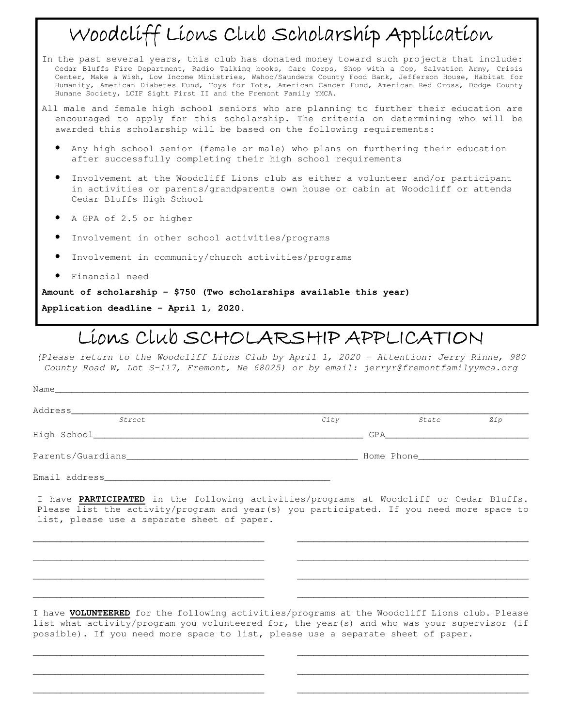## Woodcliff Lions Club Scholarship Application

- In the past several years, this club has donated money toward such projects that include: Cedar Bluffs Fire Department, Radio Talking books, Care Corps, Shop with a Cop, Salvation Army, Crisis Center, Make a Wish, Low Income Ministries, Wahoo/Saunders County Food Bank, Jefferson House, Habitat for Humanity, American Diabetes Fund, Toys for Tots, American Cancer Fund, American Red Cross, Dodge County Humane Society, LCIF Sight First II and the Fremont Family YMCA.
- All male and female high school seniors who are planning to further their education are encouraged to apply for this scholarship. The criteria on determining who will be awarded this scholarship will be based on the following requirements:
	- Any high school senior (female or male) who plans on furthering their education after successfully completing their high school requirements
	- Involvement at the Woodcliff Lions club as either a volunteer and/or participant in activities or parents/grandparents own house or cabin at Woodcliff or attends Cedar Bluffs High School
	- A GPA of 2.5 or higher
	- Involvement in other school activities/programs
	- Involvement in community/church activities/programs
	- Financial need

**Amount of scholarship - \$750 (Two scholarships available this year)** 

**Application deadline – April 1, 2020.** 

## LIONS CLUB SCHOLARSHIP APPLICATION

*(Please return to the Woodcliff Lions Club by April 1, 2020 – Attention: Jerry Rinne, 980 County Road W, Lot S-117, Fremont, Ne 68025) or by email: jerryr@fremontfamilyymca.org* 

| Street        | City                                                                                                                                                                                                                               | State | Zip |
|---------------|------------------------------------------------------------------------------------------------------------------------------------------------------------------------------------------------------------------------------------|-------|-----|
|               | GPA <b>Service</b> Service Service Service Service Service Service Service Service Service Service Service Service Service Service Service Service Service Service Service Service Service Service Service Service Service Service |       |     |
|               |                                                                                                                                                                                                                                    |       |     |
| Email address |                                                                                                                                                                                                                                    |       |     |

I have **PARTICIPATED** in the following activities/programs at Woodcliff or Cedar Bluffs. Please list the activity/program and year(s) you participated. If you need more space to list, please use a separate sheet of paper.

\_\_\_\_\_\_\_\_\_\_\_\_\_\_\_\_\_\_\_\_\_\_\_\_\_\_\_\_\_\_\_\_\_\_\_\_\_\_\_\_\_\_ \_\_\_\_\_\_\_\_\_\_\_\_\_\_\_\_\_\_\_\_\_\_\_\_\_\_\_\_\_\_\_\_\_\_\_\_\_\_\_\_\_\_

\_\_\_\_\_\_\_\_\_\_\_\_\_\_\_\_\_\_\_\_\_\_\_\_\_\_\_\_\_\_\_\_\_\_\_\_\_\_\_\_\_\_ \_\_\_\_\_\_\_\_\_\_\_\_\_\_\_\_\_\_\_\_\_\_\_\_\_\_\_\_\_\_\_\_\_\_\_\_\_\_\_\_\_\_

\_\_\_\_\_\_\_\_\_\_\_\_\_\_\_\_\_\_\_\_\_\_\_\_\_\_\_\_\_\_\_\_\_\_\_\_\_\_\_\_\_\_ \_\_\_\_\_\_\_\_\_\_\_\_\_\_\_\_\_\_\_\_\_\_\_\_\_\_\_\_\_\_\_\_\_\_\_\_\_\_\_\_\_\_

\_\_\_\_\_\_\_\_\_\_\_\_\_\_\_\_\_\_\_\_\_\_\_\_\_\_\_\_\_\_\_\_\_\_\_\_\_\_\_\_\_\_ \_\_\_\_\_\_\_\_\_\_\_\_\_\_\_\_\_\_\_\_\_\_\_\_\_\_\_\_\_\_\_\_\_\_\_\_\_\_\_\_\_\_

I have **VOLUNTEERED** for the following activities/programs at the Woodcliff Lions club. Please list what activity/program you volunteered for, the year(s) and who was your supervisor (if possible). If you need more space to list, please use a separate sheet of paper.

\_\_\_\_\_\_\_\_\_\_\_\_\_\_\_\_\_\_\_\_\_\_\_\_\_\_\_\_\_\_\_\_\_\_\_\_\_\_\_\_\_\_ \_\_\_\_\_\_\_\_\_\_\_\_\_\_\_\_\_\_\_\_\_\_\_\_\_\_\_\_\_\_\_\_\_\_\_\_\_\_\_\_\_\_

\_\_\_\_\_\_\_\_\_\_\_\_\_\_\_\_\_\_\_\_\_\_\_\_\_\_\_\_\_\_\_\_\_\_\_\_\_\_\_\_\_\_ \_\_\_\_\_\_\_\_\_\_\_\_\_\_\_\_\_\_\_\_\_\_\_\_\_\_\_\_\_\_\_\_\_\_\_\_\_\_\_\_\_\_

\_\_\_\_\_\_\_\_\_\_\_\_\_\_\_\_\_\_\_\_\_\_\_\_\_\_\_\_\_\_\_\_\_\_\_\_\_\_\_\_\_\_ \_\_\_\_\_\_\_\_\_\_\_\_\_\_\_\_\_\_\_\_\_\_\_\_\_\_\_\_\_\_\_\_\_\_\_\_\_\_\_\_\_\_